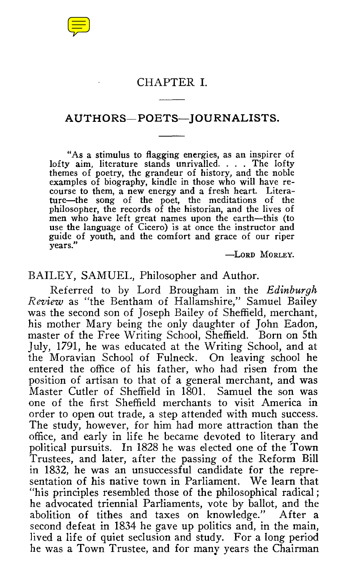## CHAPTER I.

## AUTHORS—POETS—JOURNALISTS.

"As a stimulus to flagging energies, as an inspirer of lofty aim, literature stands unrivalled. . . . The lofty themes of poetry, the grandeur of history, and the noble examples of biography, kindle in those who will have recourse to them, a new energy and a fresh heart. Literature—the song of the poet, the meditations of the philosopher, the records of the historian, and the lives of men who have left great names upon the earth—this (to use the language of Cicero) is at once the instructor and guide of youth, and the comfort and grace of our riper years."

-LORD MORLEY.

### BAILEY, SAMUEL, Philosopher and Author.

Referred to by Lord Brougham in the *Edinburgh Review* as "the Bentham of Hallamshire," Samuel Bailey was the second son of Joseph Bailey of Sheffield, merchant, his mother Mary being the only daughter of John Eadon, master of the Free Writing School, Sheffield. Born on 5th July, 1791, he was educated at the Writing School, and at the Moravian School of Fulneck. On leaving school he entered the office of his father, who had risen from the position of artisan to that of a general merchant, and was Master Cutler of Sheffield in 1801. Samuel the son was one of the first Sheffield merchants to visit America in order to open out trade, a step attended with much success. The study, however, for him had more attraction than the office, and early in life he became devoted to literary and political pursuits. In 1828 he was elected one of the Town Trustees, and later, after the passing of the Reform Bill in 1832, he was an unsuccessful candidate for the representation of his native town in Parliament. We learn that "his principles resembled those of the philosophical radical ; he advocated triennial Parliaments, vote by ballot, and the abolition of tithes and taxes on knowledge." After a second defeat in 1834 he gave up politics and, in the main, lived a life of quiet seclusion and study. For a long period he was a Town Trustee, and for many years the Chairman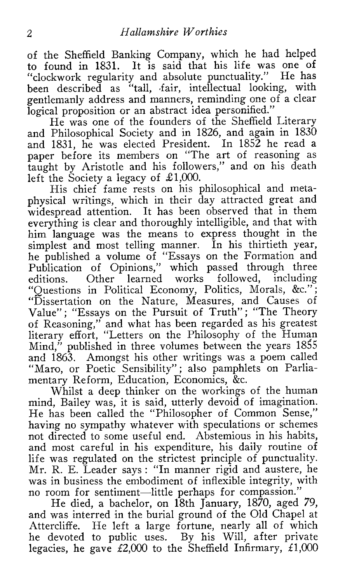of the Sheffield Banking Company, which he had helped to found in 1831. It is said that his life was one of "clockwork regularity and absolute punctuality." He has been described as "tall, fair, intellectual looking, with gentlemanly address and manners, reminding one of a clear logical proposition or an abstract idea personified."

He was one of the founders of the Sheffield Literary and Philosophical Society and in 1826, and again in 1830 and 1831, he was elected President. In 1852 he read a paper before its members on "The art of reasoning as taught by Aristotle and his followers," and on his death left the Society a legacy of £1,000.

His chief fame rests on his philosophical and metaphysical writings, which in their day attracted great and widespread attention. It has been observed that in them everything is clear and thoroughly intelligible, and that with him language was the means to express thought in the simplest and most telling manner. In his thirtieth year, he published a volume of "Essays on the Formation and Publication of Opinions," which passed through three editions. Other learned works followed, including "Questions in Political Economy, Politics, Morals, &c." ; "Dissertation on the Nature, Measures, and Causes of Value": "Essays on the Pursuit of Truth"; "The Theory of Reasoning," and what has been regarded as his greatest literary effort, "Letters on the Philosophy of the Human Mind," published in three volumes between the years 1855 and 1863. Amongst his other writings was a poem called "Maro, or Poetic Sensibility"; also pamphlets on Parliamentary Reform, Education, Economics, &c.

Whilst a deep thinker on the workings of the human mind, Bailey was, it is said, utterly devoid of imagination. He has been called the "Philosopher of Common Sense," having no sympathy whatever with speculations or schemes not directed to some useful end. Abstemious in his habits, and most careful in his expenditure, his daily routine of life was regulated on the strictest principle of punctuality. Mr. R. E. Leader says : "In manner rigid and austere, he was in business the embodiment of inflexible integrity, with no room for sentiment—little perhaps for compassion."

He died, a bachelor, on 18th January, 1870, aged 79, and was interred in the burial ground of the Old Chapel at Attercliffe. He left a large fortune, nearly all of which he devoted to public uses. By his Will, after private legacies, he gave  $£2,000$  to the Sheffield Infirmary,  $£1,000$